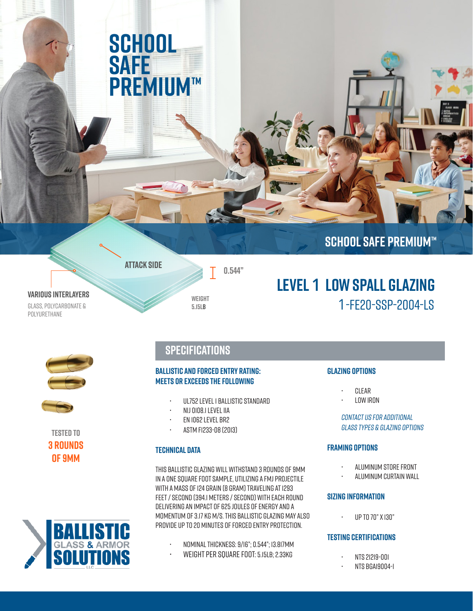# **SCHOOL SAFE PREMIUM™**

**ATTACK SIDE**

### **SCHOOL SAFE PREMIUM™**

1-FE20-SSP-2004-LS

**Various Interlayers**

Polyurethane



**0.544"**

# GLASS, POLYCARBONATE & **5.15LB**



**Tested to 3 Rounds of 9MM**



### **Specifications**

### **Ballistic and Forced Entry Rating: Meets Or Exceeds The Following**

- UL752 Level 1 Ballistic Standard
- NIJ 0108.1 Level IIA
- EN 1062 Level BR2
- ASTM F1233-08 (2013)

### **Technical Data**

This Ballistic Glazing will withstand 3 rounds of 9mm in a one square foot sample, utilizing a FMJ projectile with a mass of 124 grain (8 gram) traveling at 1293 feet / second (394.1 meters / second) with each round delivering an impact of 625 Joules of Energy and a Momentum of 3.17 kg m/s. This Ballistic Glazing may also provide up to 20 minutes of forced entry protection.

- Nominal Thickness: 9/16"; 0.544"; 13.817mm
- Weight Per Square Foot: 5.15lb; 2.33kg

#### **Glazing Options**

**Level 1 Low Spall Glazing**

- Clear
- Low Iron

contact us for additional glass types & glazing options

#### **Framing Options**

- Aluminum Store Front
- Aluminum Curtain Wall

#### **Sizing Information**

• Up to 70" x 130"

#### **Testing Certifications**

- NTS 21219-001
- NTS BGA19004-1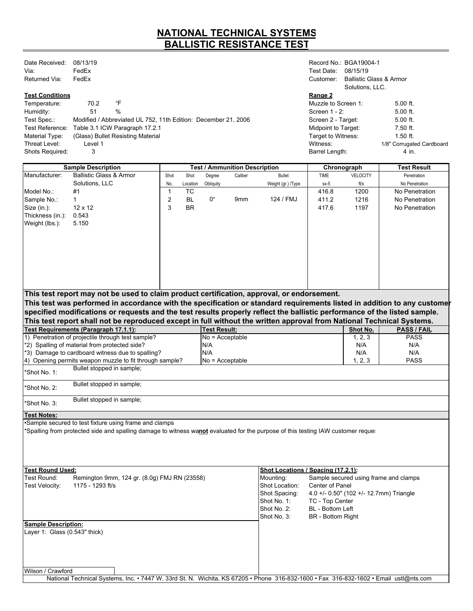### **NATIONAL TECHNICAL SYSTEMS BALLISTIC RESISTANCE TEST**

| Date Received:<br>Via: | 08/13/19<br>FedEx |                                                                | Test Date:                 | Record No.: BGA19004-1<br>08/15/19                    |                           |
|------------------------|-------------------|----------------------------------------------------------------|----------------------------|-------------------------------------------------------|---------------------------|
| Returned Via:          | FedEx             |                                                                | Customer:                  | <b>Ballistic Glass &amp; Armor</b><br>Solutions, LLC. |                           |
| <b>Test Conditions</b> |                   |                                                                | Range 2                    |                                                       |                           |
| Temperature:           | 70.2              | °F                                                             | Muzzle to Screen 1:        |                                                       | $5.00$ ft.                |
| Humidity:              | 51                | $\%$                                                           | Screen $1 - 2$ :           |                                                       | $5.00$ ft.                |
| Test Spec.:            |                   | Modified / Abbreviated UL 752, 11th Edition: December 21, 2006 | Screen 2 - Target:         |                                                       | $5.00$ ft.                |
| Test Reference:        |                   | Table 3.1 ICW Paragraph 17.2.1                                 | <b>Midpoint to Target:</b> |                                                       | 7.50 ft.                  |
| Material Type:         |                   | (Glass) Bullet Resisting Material                              | Target to Witness:         |                                                       | $1.50$ ft.                |
| Threat Level:          | Level 1           |                                                                | Witness:                   |                                                       | 1/8" Corrugated Cardboard |
| <b>Shots Required:</b> | 3                 |                                                                | Barrel Length:             |                                                       | 4 in.                     |

| <b>Sample Description</b>     |                                                                                                                                       | <b>Test / Ammunition Description</b> |           |                     |         |                                    |                          | Chronograph                             | <b>Test Result</b>                    |
|-------------------------------|---------------------------------------------------------------------------------------------------------------------------------------|--------------------------------------|-----------|---------------------|---------|------------------------------------|--------------------------|-----------------------------------------|---------------------------------------|
| Manufacturer:                 | <b>Ballistic Glass &amp; Armor</b>                                                                                                    | Shot                                 | Shot      | Degree              | Caliber | <b>Bullet</b>                      | <b>TIME</b>              | <b>VELOCITY</b>                         | Penetration                           |
|                               | Solutions, LLC                                                                                                                        | No.                                  | Location  | Obliquity           |         | Weight (gr.) /Type                 | $sx-5$                   | ft/s                                    | No Penetration                        |
| Model No.:                    | #1                                                                                                                                    | $\mathbf{1}$                         | <b>TC</b> |                     |         |                                    | 416.8                    | 1200                                    | No Penetration                        |
| Sample No.:                   | $\mathbf{1}$                                                                                                                          | $\overline{\mathbf{c}}$              | <b>BL</b> | 0°                  | 9mm     | 124 / FMJ                          | 411.2                    | 1216                                    | No Penetration                        |
| Size (in.):                   | $12 \times 12$                                                                                                                        | 3                                    | <b>BR</b> |                     |         |                                    | 417.6                    | 1197                                    | No Penetration                        |
| Thickness (in.):              | 0.543                                                                                                                                 |                                      |           |                     |         |                                    |                          |                                         |                                       |
| Weight (lbs.):                | 5.150                                                                                                                                 |                                      |           |                     |         |                                    |                          |                                         |                                       |
|                               |                                                                                                                                       |                                      |           |                     |         |                                    |                          |                                         |                                       |
|                               |                                                                                                                                       |                                      |           |                     |         |                                    |                          |                                         |                                       |
|                               |                                                                                                                                       |                                      |           |                     |         |                                    |                          |                                         |                                       |
|                               |                                                                                                                                       |                                      |           |                     |         |                                    |                          |                                         |                                       |
|                               |                                                                                                                                       |                                      |           |                     |         |                                    |                          |                                         |                                       |
|                               |                                                                                                                                       |                                      |           |                     |         |                                    |                          |                                         |                                       |
|                               |                                                                                                                                       |                                      |           |                     |         |                                    |                          |                                         |                                       |
|                               |                                                                                                                                       |                                      |           |                     |         |                                    |                          |                                         |                                       |
|                               | This test report may not be used to claim product certification, approval, or endorsement.                                            |                                      |           |                     |         |                                    |                          |                                         |                                       |
|                               | This test was performed in accordance with the specification or standard requirements listed in addition to any customer              |                                      |           |                     |         |                                    |                          |                                         |                                       |
|                               | specified modifications or requests and the test results properly reflect the ballistic performance of the listed sample.             |                                      |           |                     |         |                                    |                          |                                         |                                       |
|                               | This test report shall not be reproduced except in full without the written approval from National Technical Systems.                 |                                      |           |                     |         |                                    |                          |                                         |                                       |
|                               | Test Requirements (Paragraph 17.1.1):                                                                                                 |                                      |           | <b>Test Result:</b> |         |                                    |                          | Shot No.                                | <b>PASS / FAIL</b>                    |
|                               | 1) Penetration of projectile through test sample?                                                                                     |                                      |           | $No = Acceptable$   |         |                                    |                          | 1, 2, 3                                 | <b>PASS</b>                           |
|                               | *2) Spalling of material from protected side?                                                                                         |                                      |           | N/A                 |         |                                    |                          | N/A                                     | N/A                                   |
|                               | *3) Damage to cardboard witness due to spalling?                                                                                      |                                      |           | N/A                 |         |                                    |                          | N/A                                     | N/A                                   |
|                               | 4) Opening permits weapon muzzle to fit through sample?                                                                               |                                      |           | $No = Acceptable$   |         |                                    |                          | 1, 2, 3                                 | <b>PASS</b>                           |
| *Shot No. 1:                  | Bullet stopped in sample;                                                                                                             |                                      |           |                     |         |                                    |                          |                                         |                                       |
|                               |                                                                                                                                       |                                      |           |                     |         |                                    |                          |                                         |                                       |
| *Shot No. 2:                  | Bullet stopped in sample;                                                                                                             |                                      |           |                     |         |                                    |                          |                                         |                                       |
| Shot No. 3:                   | Bullet stopped in sample;                                                                                                             |                                      |           |                     |         |                                    |                          |                                         |                                       |
| Test Notes:                   |                                                                                                                                       |                                      |           |                     |         |                                    |                          |                                         |                                       |
|                               | Sample secured to test fixture using frame and clamps                                                                                 |                                      |           |                     |         |                                    |                          |                                         |                                       |
|                               | *Spalling from protected side and spalling damage to witness wanot evaluated for the purpose of this testing IAW customer reque:      |                                      |           |                     |         |                                    |                          |                                         |                                       |
|                               |                                                                                                                                       |                                      |           |                     |         |                                    |                          |                                         |                                       |
|                               |                                                                                                                                       |                                      |           |                     |         |                                    |                          |                                         |                                       |
|                               |                                                                                                                                       |                                      |           |                     |         |                                    |                          |                                         |                                       |
|                               |                                                                                                                                       |                                      |           |                     |         |                                    |                          |                                         |                                       |
| <b>Test Round Used:</b>       |                                                                                                                                       |                                      |           |                     |         | Shot Locations / Spacing (17.2.1): |                          |                                         |                                       |
| Test Round:                   | Remington 9mm, 124 gr. (8.0g) FMJ RN (23558)                                                                                          |                                      |           |                     |         | Mounting:                          |                          |                                         | Sample secured using frame and clamps |
| Test Velocity:                | 1175 - 1293 ft/s                                                                                                                      |                                      |           |                     |         | Shot Location:                     | Center of Panel          |                                         |                                       |
|                               |                                                                                                                                       |                                      |           |                     |         | Shot Spacing:                      |                          | 4.0 +/- 0.50" (102 +/- 12.7mm) Triangle |                                       |
|                               |                                                                                                                                       |                                      |           |                     |         | Shot No. 1:                        | TC - Top Center          |                                         |                                       |
|                               |                                                                                                                                       |                                      |           |                     |         | Shot No. 2:                        | BL - Bottom Left         |                                         |                                       |
|                               |                                                                                                                                       |                                      |           |                     |         | Shot No. 3:                        | <b>BR</b> - Bottom Right |                                         |                                       |
| <b>Sample Description:</b>    |                                                                                                                                       |                                      |           |                     |         |                                    |                          |                                         |                                       |
| Layer 1: Glass (0.543" thick) |                                                                                                                                       |                                      |           |                     |         |                                    |                          |                                         |                                       |
|                               |                                                                                                                                       |                                      |           |                     |         |                                    |                          |                                         |                                       |
|                               |                                                                                                                                       |                                      |           |                     |         |                                    |                          |                                         |                                       |
|                               |                                                                                                                                       |                                      |           |                     |         |                                    |                          |                                         |                                       |
|                               |                                                                                                                                       |                                      |           |                     |         |                                    |                          |                                         |                                       |
| Wilson / Crawford             | National Technical Systems, Inc. • 7447 W. 33rd St. N. Wichita, KS 67205 • Phone 316-832-1600 • Fax 316-832-1602 • Email ustl@nts.com |                                      |           |                     |         |                                    |                          |                                         |                                       |
|                               |                                                                                                                                       |                                      |           |                     |         |                                    |                          |                                         |                                       |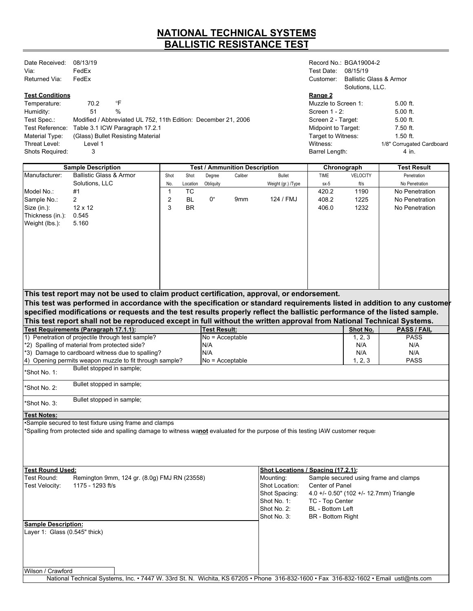### **NATIONAL TECHNICAL SYSTEMS BALLISTIC RESISTANCE TEST**

| Date Received:<br>Via: | 08/13/19<br>FedEx |                                                                | Test Date:                 | Record No.: BGA19004-2<br>08/15/19                    |                           |
|------------------------|-------------------|----------------------------------------------------------------|----------------------------|-------------------------------------------------------|---------------------------|
| Returned Via:          | FedEx             |                                                                | Customer:                  | <b>Ballistic Glass &amp; Armor</b><br>Solutions, LLC. |                           |
| <b>Test Conditions</b> |                   |                                                                | Range 2                    |                                                       |                           |
| Temperature:           | 70.2              | °F                                                             | Muzzle to Screen 1:        |                                                       | $5.00$ ft.                |
| Humidity:              | 51                | $\%$                                                           | Screen $1 - 2$ :           |                                                       | $5.00$ ft.                |
| Test Spec.:            |                   | Modified / Abbreviated UL 752, 11th Edition: December 21, 2006 | Screen 2 - Target:         |                                                       | $5.00$ ft.                |
| Test Reference:        |                   | Table 3.1 ICW Paragraph 17.2.1                                 | <b>Midpoint to Target:</b> |                                                       | 7.50 ft.                  |
| Material Type:         |                   | (Glass) Bullet Resisting Material                              | Target to Witness:         |                                                       | $1.50$ ft.                |
| Threat Level:          | Level 1           |                                                                | Witness:                   |                                                       | 1/8" Corrugated Cardboard |
| <b>Shots Required:</b> | 3                 |                                                                | Barrel Length:             |                                                       | 4 in.                     |

| <b>Sample Description</b>     |                                                                                                                                       | <b>Test / Ammunition Description</b> |           |                     |         |                                    |                          | Chronograph                             | <b>Test Result</b>                    |
|-------------------------------|---------------------------------------------------------------------------------------------------------------------------------------|--------------------------------------|-----------|---------------------|---------|------------------------------------|--------------------------|-----------------------------------------|---------------------------------------|
| Manufacturer:                 | <b>Ballistic Glass &amp; Armor</b>                                                                                                    | Shot                                 | Shot      | Degree              | Caliber | <b>Bullet</b>                      | TIME                     | <b>VELOCITY</b>                         | Penetration                           |
|                               | Solutions, LLC                                                                                                                        | No.                                  | Location  | Obliquity           |         | Weight (gr.) /Type                 | $sx-5$                   | ft/s                                    | No Penetration                        |
| Model No.:                    | #1                                                                                                                                    | $\mathbf{1}$                         | <b>TC</b> |                     |         |                                    | 420.2                    | 1190                                    | No Penetration                        |
| Sample No.:                   | 2                                                                                                                                     | $\overline{\mathbf{c}}$              | <b>BL</b> | 0°                  | 9mm     | 124 / FMJ                          | 408.2                    | 1225                                    | No Penetration                        |
| Size (in.):                   | $12 \times 12$                                                                                                                        | 3                                    | <b>BR</b> |                     |         |                                    | 406.0                    | 1232                                    | No Penetration                        |
| Thickness (in.):              | 0.545                                                                                                                                 |                                      |           |                     |         |                                    |                          |                                         |                                       |
| Weight (lbs.):                | 5.160                                                                                                                                 |                                      |           |                     |         |                                    |                          |                                         |                                       |
|                               |                                                                                                                                       |                                      |           |                     |         |                                    |                          |                                         |                                       |
|                               |                                                                                                                                       |                                      |           |                     |         |                                    |                          |                                         |                                       |
|                               |                                                                                                                                       |                                      |           |                     |         |                                    |                          |                                         |                                       |
|                               |                                                                                                                                       |                                      |           |                     |         |                                    |                          |                                         |                                       |
|                               |                                                                                                                                       |                                      |           |                     |         |                                    |                          |                                         |                                       |
|                               |                                                                                                                                       |                                      |           |                     |         |                                    |                          |                                         |                                       |
|                               |                                                                                                                                       |                                      |           |                     |         |                                    |                          |                                         |                                       |
|                               |                                                                                                                                       |                                      |           |                     |         |                                    |                          |                                         |                                       |
|                               | This test report may not be used to claim product certification, approval, or endorsement.                                            |                                      |           |                     |         |                                    |                          |                                         |                                       |
|                               | This test was performed in accordance with the specification or standard requirements listed in addition to any customer              |                                      |           |                     |         |                                    |                          |                                         |                                       |
|                               | specified modifications or requests and the test results properly reflect the ballistic performance of the listed sample.             |                                      |           |                     |         |                                    |                          |                                         |                                       |
|                               | This test report shall not be reproduced except in full without the written approval from National Technical Systems.                 |                                      |           |                     |         |                                    |                          |                                         |                                       |
|                               | Test Requirements (Paragraph 17.1.1):                                                                                                 |                                      |           | <b>Test Result:</b> |         |                                    |                          | Shot No.                                | <b>PASS / FAIL</b>                    |
|                               | 1) Penetration of projectile through test sample?                                                                                     |                                      |           | $No = Acceptable$   |         |                                    |                          | 1, 2, 3                                 | <b>PASS</b>                           |
|                               | *2) Spalling of material from protected side?                                                                                         |                                      |           | N/A                 |         |                                    |                          | N/A                                     | N/A                                   |
|                               | *3) Damage to cardboard witness due to spalling?                                                                                      |                                      |           | N/A                 |         |                                    |                          | N/A                                     | N/A                                   |
|                               | 4) Opening permits weapon muzzle to fit through sample?                                                                               |                                      |           | $No = Acceptable$   |         |                                    |                          | 1, 2, 3                                 | <b>PASS</b>                           |
| *Shot No. 1:                  | Bullet stopped in sample;                                                                                                             |                                      |           |                     |         |                                    |                          |                                         |                                       |
|                               |                                                                                                                                       |                                      |           |                     |         |                                    |                          |                                         |                                       |
| *Shot No. 2:                  | Bullet stopped in sample;                                                                                                             |                                      |           |                     |         |                                    |                          |                                         |                                       |
|                               |                                                                                                                                       |                                      |           |                     |         |                                    |                          |                                         |                                       |
| Shot No. 3:                   | Bullet stopped in sample;                                                                                                             |                                      |           |                     |         |                                    |                          |                                         |                                       |
| Test Notes:                   |                                                                                                                                       |                                      |           |                     |         |                                    |                          |                                         |                                       |
|                               | Sample secured to test fixture using frame and clamps                                                                                 |                                      |           |                     |         |                                    |                          |                                         |                                       |
|                               | *Spalling from protected side and spalling damage to witness wanot evaluated for the purpose of this testing IAW customer reque:      |                                      |           |                     |         |                                    |                          |                                         |                                       |
|                               |                                                                                                                                       |                                      |           |                     |         |                                    |                          |                                         |                                       |
|                               |                                                                                                                                       |                                      |           |                     |         |                                    |                          |                                         |                                       |
|                               |                                                                                                                                       |                                      |           |                     |         |                                    |                          |                                         |                                       |
|                               |                                                                                                                                       |                                      |           |                     |         |                                    |                          |                                         |                                       |
| <b>Test Round Used:</b>       |                                                                                                                                       |                                      |           |                     |         | Shot Locations / Spacing (17.2.1): |                          |                                         |                                       |
| Test Round:                   | Remington 9mm, 124 gr. (8.0g) FMJ RN (23558)                                                                                          |                                      |           |                     |         | Mounting:                          |                          |                                         | Sample secured using frame and clamps |
| Test Velocity:                | 1175 - 1293 ft/s                                                                                                                      |                                      |           |                     |         | Shot Location:                     | Center of Panel          |                                         |                                       |
|                               |                                                                                                                                       |                                      |           |                     |         | Shot Spacing:                      |                          | 4.0 +/- 0.50" (102 +/- 12.7mm) Triangle |                                       |
|                               |                                                                                                                                       |                                      |           |                     |         | Shot No. 1:                        | TC - Top Center          |                                         |                                       |
|                               |                                                                                                                                       |                                      |           |                     |         | Shot No. 2:                        | BL - Bottom Left         |                                         |                                       |
|                               |                                                                                                                                       |                                      |           |                     |         | Shot No. 3:                        | <b>BR</b> - Bottom Right |                                         |                                       |
| <b>Sample Description:</b>    |                                                                                                                                       |                                      |           |                     |         |                                    |                          |                                         |                                       |
| Layer 1: Glass (0.545" thick) |                                                                                                                                       |                                      |           |                     |         |                                    |                          |                                         |                                       |
|                               |                                                                                                                                       |                                      |           |                     |         |                                    |                          |                                         |                                       |
|                               |                                                                                                                                       |                                      |           |                     |         |                                    |                          |                                         |                                       |
|                               |                                                                                                                                       |                                      |           |                     |         |                                    |                          |                                         |                                       |
|                               |                                                                                                                                       |                                      |           |                     |         |                                    |                          |                                         |                                       |
| Wilson / Crawford             |                                                                                                                                       |                                      |           |                     |         |                                    |                          |                                         |                                       |
|                               | National Technical Systems, Inc. • 7447 W. 33rd St. N. Wichita, KS 67205 • Phone 316-832-1600 • Fax 316-832-1602 • Email ustl@nts.com |                                      |           |                     |         |                                    |                          |                                         |                                       |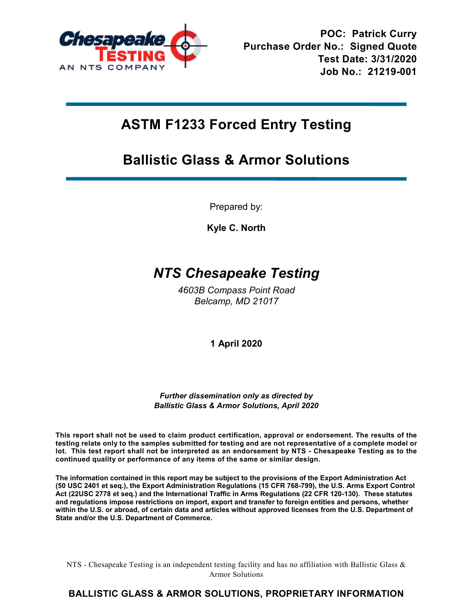

## **ASTM F1233 Forced Entry Testing**

### **Ballistic Glass & Armor Solutions**

Prepared by:

**Kyle C. North**

### *NTS Chesapeake Testing*

*4603B Compass Point Road Belcamp, MD 21017*

**1 April 2020**

*Further dissemination only as directed by Ballistic Glass & Armor Solutions, April 2020*

**This report shall not be used to claim product certification, approval or endorsement. The results of the testing relate only to the samples submitted for testing and are not representative of a complete model or lot. This test report shall not be interpreted as an endorsement by NTS - Chesapeake Testing as to the continued quality or performance of any items of the same or similar design.**

**The information contained in this report may be subject to the provisions of the Export Administration Act (50 USC 2401 et seq.), the Export Administration Regulations (15 CFR 768-799), the U.S. Arms Export Control Act (22USC 2778 et seq.) and the International Traffic in Arms Regulations (22 CFR 120-130). These statutes and regulations impose restrictions on import, export and transfer to foreign entities and persons, whether within the U.S. or abroad, of certain data and articles without approved licenses from the U.S. Department of State and/or the U.S. Department of Commerce.**

NTS - Chesapeake Testing is an independent testing facility and has no affiliation with Ballistic Glass  $\&$ Armor Solutions

### **BALLISTIC GLASS & ARMOR SOLUTIONS, PROPRIETARY INFORMATION**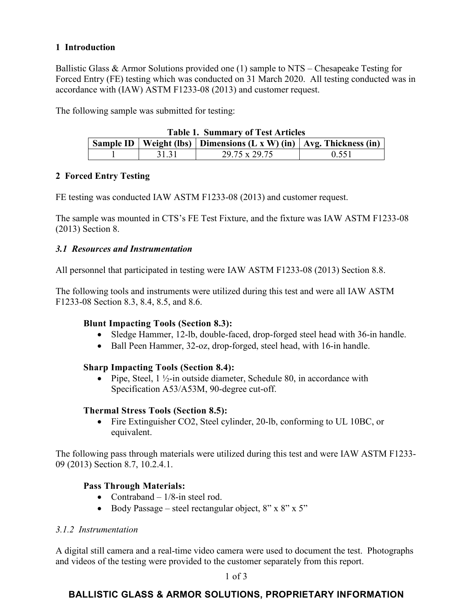### **1 Introduction**

Ballistic Glass & Armor Solutions provided one (1) sample to NTS – Chesapeake Testing for Forced Entry (FE) testing which was conducted on 31 March 2020. All testing conducted was in accordance with (IAW) ASTM F1233-08 (2013) and customer request.

The following sample was submitted for testing:

| <b>Table 1. Summary of Test Articles</b> |  |       |                                                                                 |       |  |  |  |  |
|------------------------------------------|--|-------|---------------------------------------------------------------------------------|-------|--|--|--|--|
|                                          |  |       | <b>Sample ID</b>   Weight (lbs)   Dimensions (L x W) (in)   Avg. Thickness (in) |       |  |  |  |  |
|                                          |  | 31.31 | 29.75 x 29.75                                                                   | 0.551 |  |  |  |  |

### **2 Forced Entry Testing**

FE testing was conducted IAW ASTM F1233-08 (2013) and customer request.

The sample was mounted in CTS's FE Test Fixture, and the fixture was IAW ASTM F1233-08 (2013) Section 8.

### *3.1 Resources and Instrumentation*

All personnel that participated in testing were IAW ASTM F1233-08 (2013) Section 8.8.

The following tools and instruments were utilized during this test and were all IAW ASTM F1233-08 Section 8.3, 8.4, 8.5, and 8.6.

### **Blunt Impacting Tools (Section 8.3):**

- Sledge Hammer, 12-lb, double-faced, drop-forged steel head with 36-in handle.
- Ball Peen Hammer, 32-oz, drop-forged, steel head, with 16-in handle.

### **Sharp Impacting Tools (Section 8.4):**

• Pipe, Steel,  $1\frac{1}{2}$ -in outside diameter, Schedule 80, in accordance with Specification A53/A53M, 90-degree cut-off.

### **Thermal Stress Tools (Section 8.5):**

• Fire Extinguisher CO2, Steel cylinder, 20-lb, conforming to UL 10BC, or equivalent.

The following pass through materials were utilized during this test and were IAW ASTM F1233- 09 (2013) Section 8.7, 10.2.4.1.

### **Pass Through Materials:**

- Contraband  $-1/8$ -in steel rod.
- Body Passage steel rectangular object,  $8" \times 8" \times 5"$

### *3.1.2 Instrumentation*

A digital still camera and a real-time video camera were used to document the test. Photographs and videos of the testing were provided to the customer separately from this report.

1 of 3

### **BALLISTIC GLASS & ARMOR SOLUTIONS, PROPRIETARY INFORMATION**